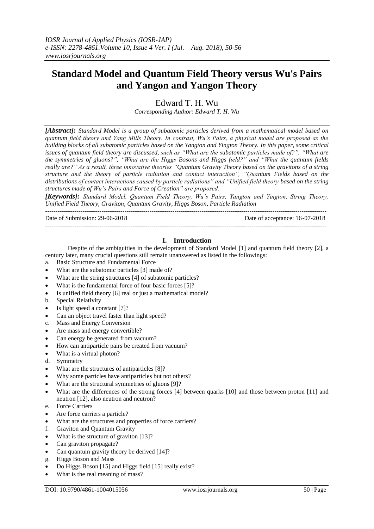# **Standard Model and Quantum Field Theory versus Wu's Pairs and Yangon and Yangon Theory**

Edward T. H. Wu

*Corresponding Author: Edward T. H. Wu*

*[Abstract]: Standard Model is a group of subatomic particles derived from a mathematical model based on quantum field theory and Yang Mills Theory. In contrast, Wu's Pairs, a physical model are proposed as the building blocks of all subatomic particles based on the Yangton and Yington Theory. In this paper, some critical issues of quantum field theory are discussed, such as "What are the subatomic particles made of?", "What are the symmetries of gluons?", "What are the Higgs Bosons and Higgs field?" and "What the quantum fields really are?" As a result, three innovative theories "Quantum Gravity Theory based on the gravitons of a string structure and the theory of particle radiation and contact interaction", "Quantum Fields based on the distributions of contact interactions caused by particle radiations" and "Unified field theory based on the string structures made of Wu's Pairs and Force of Creation" are proposed.*

*[Keywords]: Standard Model, Quantum Field Theory, Wu's Pairs, Yangton and Yington, String Theory, Unified Field Theory, Graviton, Quantum Gravity, Higgs Boson, Particle Radiation*

---------------------------------------------------------------------------------------------------------------------------------------

Date of Submission: 29-06-2018 Date of acceptance: 16-07-2018

### **I. Introduction**

---------------------------------------------------------------------------------------------------------------------------------------

Despite of the ambiguities in the development of Standard Model [1] and quantum field theory [2], a century later, many crucial questions still remain unanswered as listed in the followings:

- a. Basic Structure and Fundamental Force
- What are the subatomic particles [3] made of?
- What are the string structures [4] of subatomic particles?
- What is the fundamental force of four basic forces [5]?
- Is unified field theory [6] real or just a mathematical model?
- b. Special Relativity
- $\bullet$  Is light speed a constant [7]?
- Can an object travel faster than light speed?
- c. Mass and Energy Conversion
- Are mass and energy convertible?
- Can energy be generated from vacuum?
- How can antiparticle pairs be created from vacuum?
- What is a virtual photon?
- d. Symmetry
- What are the structures of antiparticles [8]?
- Why some particles have antiparticles but not others?
- What are the structural symmetries of gluons [9]?
- What are the differences of the strong forces [4] between quarks [10] and those between proton [11] and neutron [12], also neutron and neutron?
- e. Force Carriers
- Are force carriers a particle?
- What are the structures and properties of force carriers?
- f. Graviton and Quantum Gravity
- What is the structure of graviton [13]?
- Can graviton propagate?
- Can quantum gravity theory be derived [14]?
- g. Higgs Boson and Mass
- Do Higgs Boson [15] and Higgs field [15] really exist?
- What is the real meaning of mass?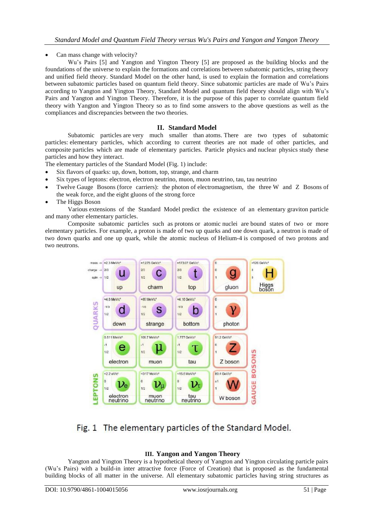Can mass change with velocity?

Wu's Pairs [5] and Yangton and Yington Theory [5] are proposed as the building blocks and the foundations of the universe to explain the formations and correlations between subatomic particles, string theory and unified field theory. Standard Model on the other hand, is used to explain the formation and correlations between subatomic particles based on quantum field theory. Since subatomic particles are made of Wu's Pairs according to Yangton and Yington Theory, Standard Model and quantum field theory should align with Wu's Pairs and Yangton and Yington Theory. Therefore, it is the purpose of this paper to correlate quantum field theory with Yangton and Yington Theory so as to find some answers to the above questions as well as the compliances and discrepancies between the two theories.

## **II. Standard Model**

Subatomic particles are very much smaller than [atoms.](https://en.wikipedia.org/wiki/Atom) There are two types of subatomic particles: [elementary particles,](https://en.wikipedia.org/wiki/Elementary_particle) which according to current theories are not made of other particles, and composite particles which are made of elementary particles. [Particle physics](https://en.wikipedia.org/wiki/Particle_physics) and [nuclear physics](https://en.wikipedia.org/wiki/Nuclear_physics) study these particles and how they [interact.](https://en.wikipedia.org/wiki/Interaction)

The elementary particles of the [Standard Model](https://en.wikipedia.org/wiki/Standard_Model) (Fig. 1) include:

- Six [flavors](https://en.wikipedia.org/wiki/Flavour_(particle_physics)) of [quarks:](https://en.wikipedia.org/wiki/Quark) [up,](https://en.wikipedia.org/wiki/Up_quark) [down,](https://en.wikipedia.org/wiki/Down_quark) [bottom,](https://en.wikipedia.org/wiki/Bottom_quark) [top,](https://en.wikipedia.org/wiki/Top_quark) [strange,](https://en.wikipedia.org/wiki/Strange_quark) and [charm](https://en.wikipedia.org/wiki/Charm_quark)
- Six types of [leptons:](https://en.wikipedia.org/wiki/Lepton) [electron,](https://en.wikipedia.org/wiki/Electron) [electron neutrino,](https://en.wikipedia.org/wiki/Electron_neutrino) [muon,](https://en.wikipedia.org/wiki/Muon) [muon neutrino,](https://en.wikipedia.org/wiki/Muon_neutrino) [tau,](https://en.wikipedia.org/wiki/Tau_(particle)) [tau neutrino](https://en.wikipedia.org/wiki/Tau_neutrino)
- Twelve [Gauge Bosons](https://en.wikipedia.org/wiki/Gauge_boson) (force carriers): the [photon](https://en.wikipedia.org/wiki/Photon) of [electromagnetism,](https://en.wikipedia.org/wiki/Electromagnetism) the three [W and Z Bosons](https://en.wikipedia.org/wiki/W_and_Z_bosons) of the [weak force,](https://en.wikipedia.org/wiki/Weak_interaction) and the eight [gluons](https://en.wikipedia.org/wiki/Gluon) of the [strong force](https://en.wikipedia.org/wiki/Strong_force)
- The [Higgs Boson](https://en.wikipedia.org/wiki/Higgs_boson)

Various [extensions of the Standard Model](https://en.wikipedia.org/wiki/Physics_beyond_the_Standard_Model) predict the existence of an elementary [graviton](https://en.wikipedia.org/wiki/Graviton) particle and [many other elementary particles.](https://en.wikipedia.org/wiki/List_of_elementary_particles#Hypothetical_particles)

Composite subatomic particles such as [protons](https://en.wikipedia.org/wiki/Proton) or atomic [nuclei](https://en.wikipedia.org/wiki/Atomic_nucleus) are [bound states](https://en.wikipedia.org/wiki/Bound_state) of two or more [elementary particles.](https://en.wikipedia.org/wiki/Elementary_particle) For example, a proton is made of two [up quarks](https://en.wikipedia.org/wiki/Up_quark) and one [down quark,](https://en.wikipedia.org/wiki/Down_quark) a neutron is made of two down quarks and one up quark, while the atomic nucleus of [Helium-4](https://en.wikipedia.org/wiki/Helium-4) is composed of two protons and two [neutrons.](https://en.wikipedia.org/wiki/Neutron)



# Fig. 1 The elementary particles of the Standard Model.

## **III. Yangon and Yangon Theory**

Yangton and Yington Theory is a hypothetical theory of Yangton and Yington circulating particle pairs (Wu's Pairs) with a build-in inter attractive force (Force of Creation) that is proposed as the fundamental building blocks of all matter in the universe. All elementary subatomic particles having string structures as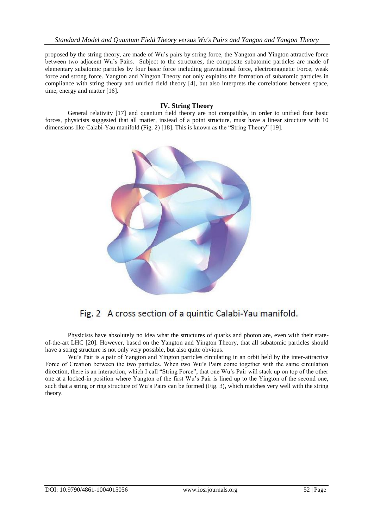proposed by the string theory, are made of Wu's pairs by string force, the Yangton and Yington attractive force between two adjacent Wu's Pairs. Subject to the structures, the composite subatomic particles are made of elementary subatomic particles by four basic force including gravitational force, electromagnetic Force, weak force and strong force. Yangton and Yington Theory not only explains the formation of subatomic particles in compliance with string theory and unified field theory [4], but also interprets the correlations between space, time, energy and matter [16].

## **IV. String Theory**

General relativity [17] and quantum field theory are not compatible, in order to unified four basic forces, physicists suggested that all matter, instead of a point structure, must have a linear structure with 10 dimensions like Calabi-Yau manifold (Fig. 2) [18]. This is known as the "String Theory" [19].



Fig. 2 A cross section of a quintic Calabi-Yau manifold.

Physicists have absolutely no idea what the structures of quarks and photon are, even with their stateof-the-art LHC [20]. However, based on the Yangton and Yington Theory, that all subatomic particles should have a string structure is not only very possible, but also quite obvious.

Wu's Pair is a pair of Yangton and Yington particles circulating in an orbit held by the inter-attractive Force of Creation between the two particles. When two Wu's Pairs come together with the same circulation direction, there is an interaction, which I call "String Force", that one Wu's Pair will stack up on top of the other one at a locked-in position where Yangton of the first Wu's Pair is lined up to the Yington of the second one, such that a string or ring structure of Wu's Pairs can be formed (Fig. 3), which matches very well with the string theory.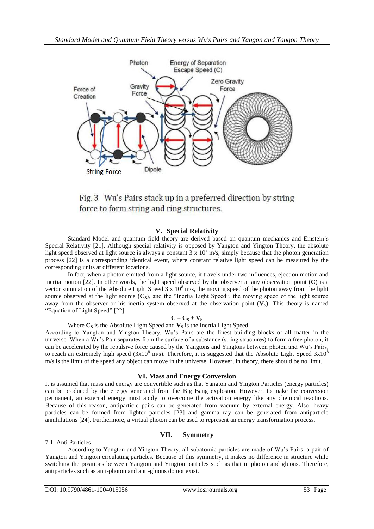

Fig. 3 Wu's Pairs stack up in a preferred direction by string force to form string and ring structures.

# **V. Special Relativity**

Standard Model and quantum field theory are derived based on quantum mechanics and Einstein's Special Relativity [21]. Although special relativity is opposed by Yangton and Yington Theory, the absolute light speed observed at light source is always a constant  $3 \times 10^8$  m/s, simply because that the photon generation process [22] is a corresponding identical event, where constant relative light speed can be measured by the corresponding units at different locations.

In fact, when a photon emitted from a light source, it travels under two influences, ejection motion and inertia motion [22]. In other words, the light speed observed by the observer at any observation point (**C**) is a vector summation of the Absolute Light Speed  $3 \times 10^8$  m/s, the moving speed of the photon away from the light source observed at the light source (C<sub>S</sub>), and the "Inertia Light Speed", the moving speed of the light source away from the observer or his inertia system observed at the observation point  $(V_s)$ . This theory is named "Equation of Light Speed" [22].

## $C = C<sub>S</sub> + V<sub>S</sub>$

Where  $C_S$  is the Absolute Light Speed and  $V_S$  is the Inertia Light Speed.

According to Yangton and Yington Theory, Wu's Pairs are the finest building blocks of all matter in the universe. When a Wu's Pair separates from the surface of a substance (string structures) to form a free photon, it can be accelerated by the repulsive force caused by the Yangtons and Yingtons between photon and Wu's Pairs, to reach an extremely high speed (3x10<sup>8</sup> m/s). Therefore, it is suggested that the Absolute Light Speed  $3x10^8$ m/s is the limit of the speed any object can move in the universe. However, in theory, there should be no limit.

## **VI. Mass and Energy Conversion**

It is assumed that mass and energy are convertible such as that Yangton and Yington Particles (energy particles) can be produced by the energy generated from the Big Bang explosion. However, to make the conversion permanent, an external energy must apply to overcome the activation energy like any chemical reactions. Because of this reason, antiparticle pairs can be generated from vacuum by external energy. Also, heavy particles can be formed from lighter particles [23] and gamma ray can be generated from antiparticle annihilations [24]. Furthermore, a virtual photon can be used to represent an energy transformation process.

## **VII. Symmetry**

## 7.1 Anti Particles

According to Yangton and Yington Theory, all subatomic particles are made of Wu's Pairs, a pair of Yangton and Yington circulating particles. Because of this symmetry, it makes no difference in structure while switching the positions between Yangton and Yington particles such as that in photon and gluons. Therefore, antiparticles such as anti-photon and anti-gluons do not exist.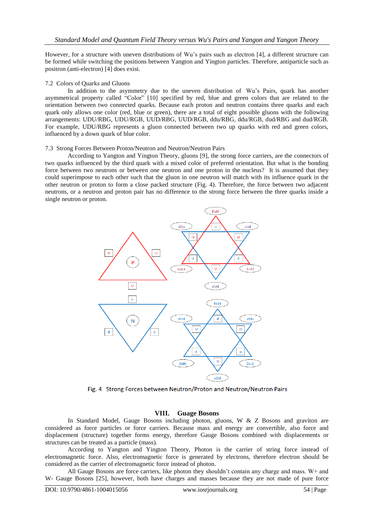However, for a structure with uneven distributions of Wu's pairs such as electron [4], a different structure can be formed while switching the positions between Yangton and Yington particles. Therefore, antiparticle such as positron (anti-electron) [4] does exist.

#### 7.2 Colors of Quarks and Gluons

In addition to the asymmetry due to the uneven distribution of Wu's Pairs, quark has another asymmetrical property called "Color" [10] specified by red, blue and green colors that are related to the orientation between two connected quarks. Because each proton and neutron contains three quarks and each quark only allows one color (red, blue or green), there are a total of eight possible gluons with the following arrangements: UDU/RBG, UDU/RGB, UUD/RBG, UUD/RGB, ddu/RBG, ddu/RGB, dud/RBG and dud/RGB. For example, UDU/RBG represents a gluon connected between two up quarks with red and green colors, influenced by a down quark of blue color.

#### 7.3 Strong Forces Between Proton/Neutron and Neutron/Neutron Pairs

According to Yangton and Yington Theory, gluons [9], the strong force carriers, are the connectors of two quarks influenced by the third quark with a mixed color of preferred orientation. But what is the bonding force between two neutrons or between one neutron and one proton in the nucleus? It is assumed that they could superimpose to each other such that the gluon in one neutron will match with its influence quark in the other neutron or proton to form a close packed structure (Fig. 4). Therefore, the force between two adjacent neutrons, or a neutron and proton pair has no difference to the strong force between the three quarks inside a single neutron or proton.



Fig. 4 Strong Forces between Neutron/Proton and Neutron/Neutron Pairs

#### **VIII. Guage Bosons**

In Standard Model, Gauge Bosons including photon, gluons, W & Z Bosons and graviton are considered as force particles or force carriers. Because mass and energy are convertible, also force and displacement (structure) together forms energy, therefore Gauge Bosons combined with displacements or structures can be treated as a particle (mass).

According to Yangton and Yington Theory, Photon is the carrier of string force instead of electromagnetic force. Also, electromagnetic force is generated by electrons, therefore electron should be considered as the carrier of electromagnetic force instead of photon.

All Gauge Bosons are force carriers, like photon they shouldn't contain any charge and mass. W+ and W- Gauge Bosons [25], however, both have charges and masses because they are not made of pure force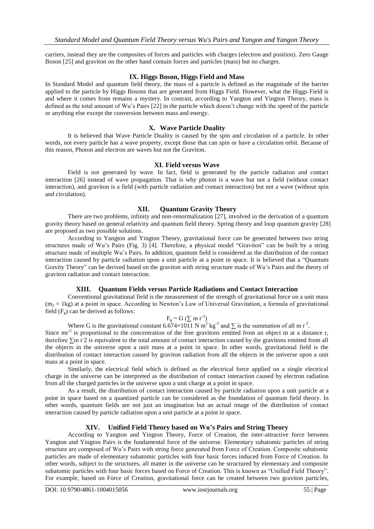carriers, instead they are the composites of forces and particles with charges (electron and position). Zero Gauge Boson [25] and graviton on the other hand contain forces and particles (mass) but no charges.

## **IX. Higgs Boson, Higgs Field and Mass**

In Standard Model and quantum field theory, the mass of a particle is defined as the magnitude of the barrier applied to the particle by Higgs Bosons that are generated from Higgs Field. However, what the Higgs Field is and where it comes from remains a mystery. In contrast, according to Yangton and Yington Theory, mass is defined as the total amount of Wu's Pairs [22] in the particle which doesn't change with the speed of the particle or anything else except the conversion between mass and energy.

## **X. Wave Particle Duality**

It is believed that Wave Particle Duality is caused by the spin and circulation of a particle. In other words, not every particle has a wave property, except those that can spin or have a circulation orbit. Because of this reason, Photon and electron are waves but not the Graviton.

#### **XI. Field versus Wave**

Field is not generated by wave. In fact, field is generated by the particle radiation and contact interaction [26] instead of wave propagation. That is why photon is a wave but not a field (without contact interaction), and graviton is a field (with particle radiation and contact interaction) but not a wave (without spin and circulation).

## **XII. Quantum Gravity Theory**

There are two problems, infinity and non-renormalization [27], involved in the derivation of a quantum gravity theory based on general relativity and quantum field theory. Spring theory and loop quantum gravity [28] are proposed as two possible solutions.

According to Yangton and Yington Theory, gravitational force can be generated between two string structures made of Wu's Pairs (Fig. 3) [4]. Therefore, a physical model "Graviton" can be built by a string structure made of multiple Wu's Pairs. In addition, quantum field is considered as the distribution of the contact interaction caused by particle radiation upon a unit particle at a point in space. It is believed that a "Quantum Gravity Theory" can be derived based on the graviton with string structure made of Wu's Pairs and the theory of graviton radiation and contact interaction.

## **XIII. Quantum Fields versus Particle Radiations and Contact Interaction**

Conventional gravitational field is the measurement of the strength of gravitational force on a unit mass  $(m<sub>2</sub> = 1$ kg) at a point in space. According to Newton's Law of Universal Gravitation, a formula of gravitational field  $(F_g)$  can be derived as follows:

# $F_g = G (\sum m r^2)$

Where G is the gravitational constant  $6.674 \times 1011$  N m<sup>2</sup> kg<sup>-2</sup> and  $\Sigma$  is the summation of all m r<sup>-2</sup>.

Since  $mr^2$  is proportional to the concentration of the free gravitons emitted from an object m at a distance r, therefore  $\Sigma$ m r<sup>-2</sup> is equivalent to the total amount of contact interaction caused by the gravitons emitted from all the objects in the universe upon a unit mass at a point in space. In other words, gravitational field is the distribution of contact interaction caused by graviton radiation from all the objects in the universe upon a unit mass at a point in space.

Similarly, the electrical field which is defined as the electrical force applied on a single electrical charge in the universe can be interpreted as the distribution of contact interaction caused by electron radiation from all the charged particles in the universe upon a unit charge at a point in space.

As a result, the distribution of contact interaction caused by particle radiation upon a unit particle at a point in space based on a quantized particle can be considered as the foundation of quantum field theory. In other words, quantum fields are not just an imagination but an actual image of the distribution of contact interaction caused by particle radiation upon a unit particle at a point in space.

## **XIV. Unified Field Theory based on Wu's Pairs and String Theory**

According to Yangton and Yington Theory, Force of Creation, the inter-attractive force between Yangton and Yington Pairs is the fundamental force of the universe. Elementary subatomic particles of string structure are composed of Wu's Pairs with string force generated from Force of Creation. Composite subatomic particles are made of elementary subatomic particles with four basic forces induced from Force of Creation. In other words, subject to the structures, all matter in the universe can be structured by elementary and composite subatomic particles with four basic forces based on Force of Creation. This is known as "Unified Field Theory". For example, based on Force of Creation, gravitational force can be created between two graviton particles,